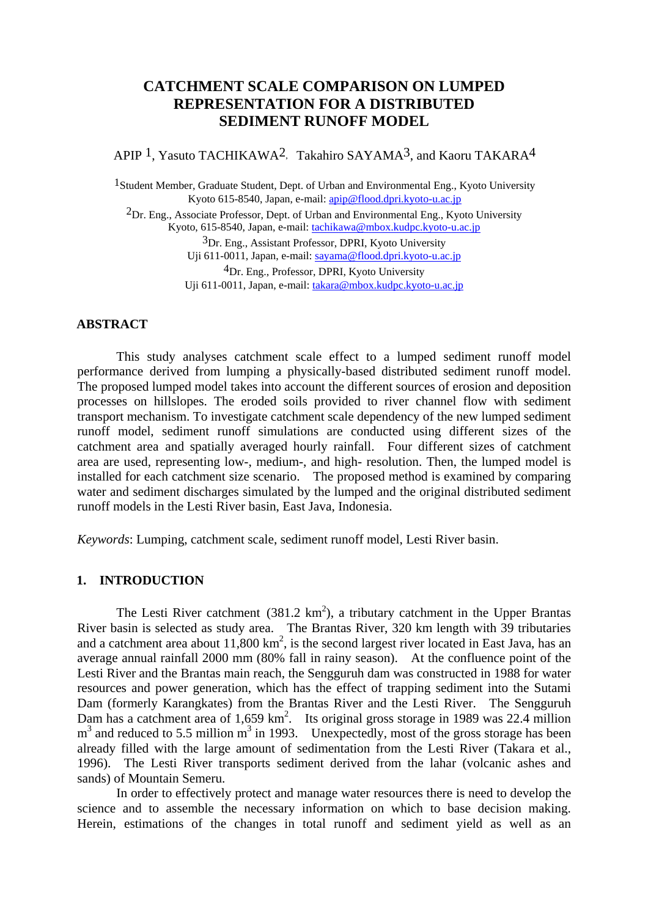# **CATCHMENT SCALE COMPARISON ON LUMPED REPRESENTATION FOR A DISTRIBUTED SEDIMENT RUNOFF MODEL**

APIP<sup>1</sup>, Yasuto TACHIKAWA<sup>2</sup>, Takahiro SAYAMA<sup>3</sup>, and Kaoru TAKARA<sup>4</sup>

1Student Member, Graduate Student, Dept. of Urban and Environmental Eng., Kyoto University Kyoto 615-8540, Japan, e-mail: apip@flood.dpri.kyoto-u.ac.jp  $2<sub>Dr. Eng.</sub>$  Associate Professor, Dept. of Urban and Environmental Eng., Kyoto University Kyoto, 615-8540, Japan, e-mail: tachikawa@mbox.kudpc.kyoto-u.ac.jp 3Dr. Eng., Assistant Professor, DPRI, Kyoto University Uji 611-0011, Japan, e-mail: sayama@flood.dpri.kyoto-u.ac.jp 4Dr. Eng., Professor, DPRI, Kyoto University Uji 611-0011, Japan, e-mail: takara@mbox.kudpc.kyoto-u.ac.jp

### **ABSTRACT**

This study analyses catchment scale effect to a lumped sediment runoff model performance derived from lumping a physically-based distributed sediment runoff model. The proposed lumped model takes into account the different sources of erosion and deposition processes on hillslopes. The eroded soils provided to river channel flow with sediment transport mechanism. To investigate catchment scale dependency of the new lumped sediment runoff model, sediment runoff simulations are conducted using different sizes of the catchment area and spatially averaged hourly rainfall. Four different sizes of catchment area are used, representing low-, medium-, and high- resolution. Then, the lumped model is installed for each catchment size scenario. The proposed method is examined by comparing water and sediment discharges simulated by the lumped and the original distributed sediment runoff models in the Lesti River basin, East Java, Indonesia.

*Keywords*: Lumping, catchment scale, sediment runoff model, Lesti River basin.

# **1. INTRODUCTION**

The Lesti River catchment  $(381.2 \text{ km}^2)$ , a tributary catchment in the Upper Brantas River basin is selected as study area. The Brantas River, 320 km length with 39 tributaries and a catchment area about  $11,800 \text{ km}^2$ , is the second largest river located in East Java, has an average annual rainfall 2000 mm (80% fall in rainy season). At the confluence point of the Lesti River and the Brantas main reach, the Sengguruh dam was constructed in 1988 for water resources and power generation, which has the effect of trapping sediment into the Sutami Dam (formerly Karangkates) from the Brantas River and the Lesti River. The Sengguruh Dam has a catchment area of  $1,659 \text{ km}^2$ . Its original gross storage in 1989 was 22.4 million  $m<sup>3</sup>$  and reduced to 5.5 million  $m<sup>3</sup>$  in 1993. Unexpectedly, most of the gross storage has been already filled with the large amount of sedimentation from the Lesti River (Takara et al., 1996). The Lesti River transports sediment derived from the lahar (volcanic ashes and sands) of Mountain Semeru.

 In order to effectively protect and manage water resources there is need to develop the science and to assemble the necessary information on which to base decision making. Herein, estimations of the changes in total runoff and sediment yield as well as an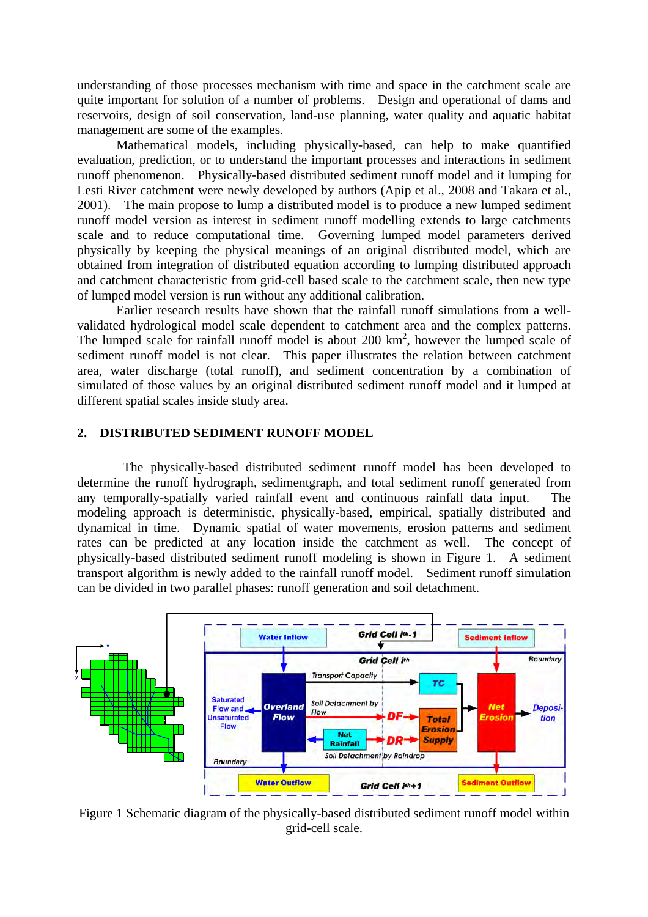understanding of those processes mechanism with time and space in the catchment scale are quite important for solution of a number of problems. Design and operational of dams and reservoirs, design of soil conservation, land-use planning, water quality and aquatic habitat management are some of the examples.

Mathematical models, including physically-based, can help to make quantified evaluation, prediction, or to understand the important processes and interactions in sediment runoff phenomenon. Physically-based distributed sediment runoff model and it lumping for Lesti River catchment were newly developed by authors (Apip et al., 2008 and Takara et al., 2001). The main propose to lump a distributed model is to produce a new lumped sediment runoff model version as interest in sediment runoff modelling extends to large catchments scale and to reduce computational time. Governing lumped model parameters derived physically by keeping the physical meanings of an original distributed model, which are obtained from integration of distributed equation according to lumping distributed approach and catchment characteristic from grid-cell based scale to the catchment scale, then new type of lumped model version is run without any additional calibration.

 Earlier research results have shown that the rainfall runoff simulations from a wellvalidated hydrological model scale dependent to catchment area and the complex patterns. The lumped scale for rainfall runoff model is about  $200 \text{ km}^2$ , however the lumped scale of sediment runoff model is not clear. This paper illustrates the relation between catchment area, water discharge (total runoff), and sediment concentration by a combination of simulated of those values by an original distributed sediment runoff model and it lumped at different spatial scales inside study area.

## **2. DISTRIBUTED SEDIMENT RUNOFF MODEL**

The physically-based distributed sediment runoff model has been developed to determine the runoff hydrograph, sedimentgraph, and total sediment runoff generated from any temporally-spatially varied rainfall event and continuous rainfall data input. The modeling approach is deterministic, physically-based, empirical, spatially distributed and dynamical in time. Dynamic spatial of water movements, erosion patterns and sediment rates can be predicted at any location inside the catchment as well. The concept of physically-based distributed sediment runoff modeling is shown in Figure 1. A sediment transport algorithm is newly added to the rainfall runoff model. Sediment runoff simulation can be divided in two parallel phases: runoff generation and soil detachment.



Figure 1 Schematic diagram of the physically-based distributed sediment runoff model within grid-cell scale.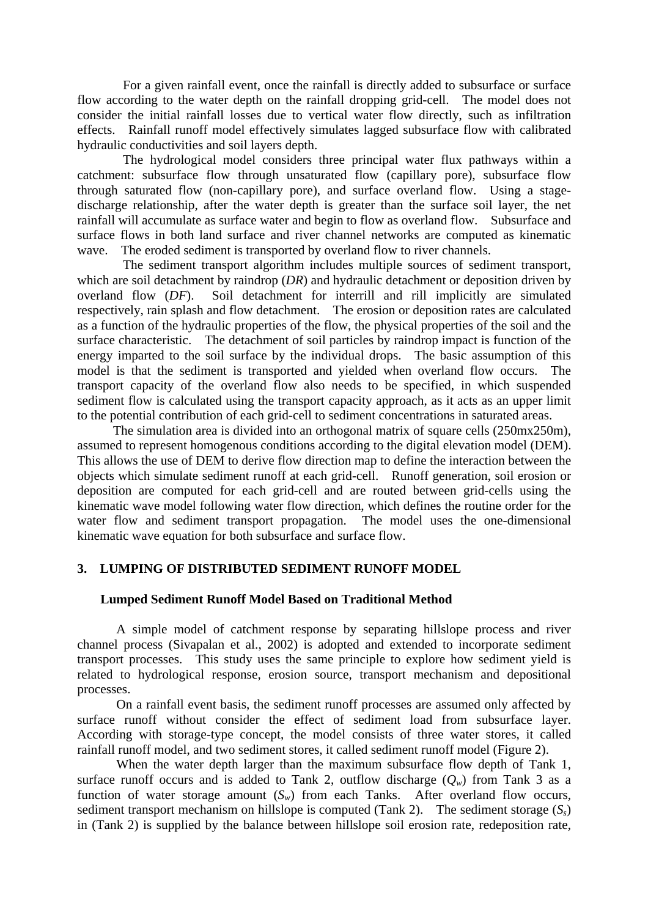For a given rainfall event, once the rainfall is directly added to subsurface or surface flow according to the water depth on the rainfall dropping grid-cell. The model does not consider the initial rainfall losses due to vertical water flow directly, such as infiltration effects. Rainfall runoff model effectively simulates lagged subsurface flow with calibrated hydraulic conductivities and soil layers depth.

The hydrological model considers three principal water flux pathways within a catchment: subsurface flow through unsaturated flow (capillary pore), subsurface flow through saturated flow (non-capillary pore), and surface overland flow. Using a stagedischarge relationship, after the water depth is greater than the surface soil layer, the net rainfall will accumulate as surface water and begin to flow as overland flow. Subsurface and surface flows in both land surface and river channel networks are computed as kinematic wave. The eroded sediment is transported by overland flow to river channels.

The sediment transport algorithm includes multiple sources of sediment transport, which are soil detachment by raindrop *(DR)* and hydraulic detachment or deposition driven by overland flow (*DF*). Soil detachment for interrill and rill implicitly are simulated respectively, rain splash and flow detachment. The erosion or deposition rates are calculated as a function of the hydraulic properties of the flow, the physical properties of the soil and the surface characteristic. The detachment of soil particles by raindrop impact is function of the energy imparted to the soil surface by the individual drops. The basic assumption of this model is that the sediment is transported and yielded when overland flow occurs. The transport capacity of the overland flow also needs to be specified, in which suspended sediment flow is calculated using the transport capacity approach, as it acts as an upper limit to the potential contribution of each grid-cell to sediment concentrations in saturated areas.

 The simulation area is divided into an orthogonal matrix of square cells (250mx250m), assumed to represent homogenous conditions according to the digital elevation model (DEM). This allows the use of DEM to derive flow direction map to define the interaction between the objects which simulate sediment runoff at each grid-cell. Runoff generation, soil erosion or deposition are computed for each grid-cell and are routed between grid-cells using the kinematic wave model following water flow direction, which defines the routine order for the water flow and sediment transport propagation. The model uses the one-dimensional kinematic wave equation for both subsurface and surface flow.

# **3. LUMPING OF DISTRIBUTED SEDIMENT RUNOFF MODEL**

### **Lumped Sediment Runoff Model Based on Traditional Method**

A simple model of catchment response by separating hillslope process and river channel process (Sivapalan et al., 2002) is adopted and extended to incorporate sediment transport processes. This study uses the same principle to explore how sediment yield is related to hydrological response, erosion source, transport mechanism and depositional processes.

On a rainfall event basis, the sediment runoff processes are assumed only affected by surface runoff without consider the effect of sediment load from subsurface layer. According with storage-type concept, the model consists of three water stores, it called rainfall runoff model, and two sediment stores, it called sediment runoff model (Figure 2).

When the water depth larger than the maximum subsurface flow depth of Tank 1, surface runoff occurs and is added to Tank 2, outflow discharge  $(Q_w)$  from Tank 3 as a function of water storage amount  $(S_w)$  from each Tanks. After overland flow occurs, sediment transport mechanism on hillslope is computed (Tank 2). The sediment storage  $(S_s)$ in (Tank 2) is supplied by the balance between hillslope soil erosion rate, redeposition rate,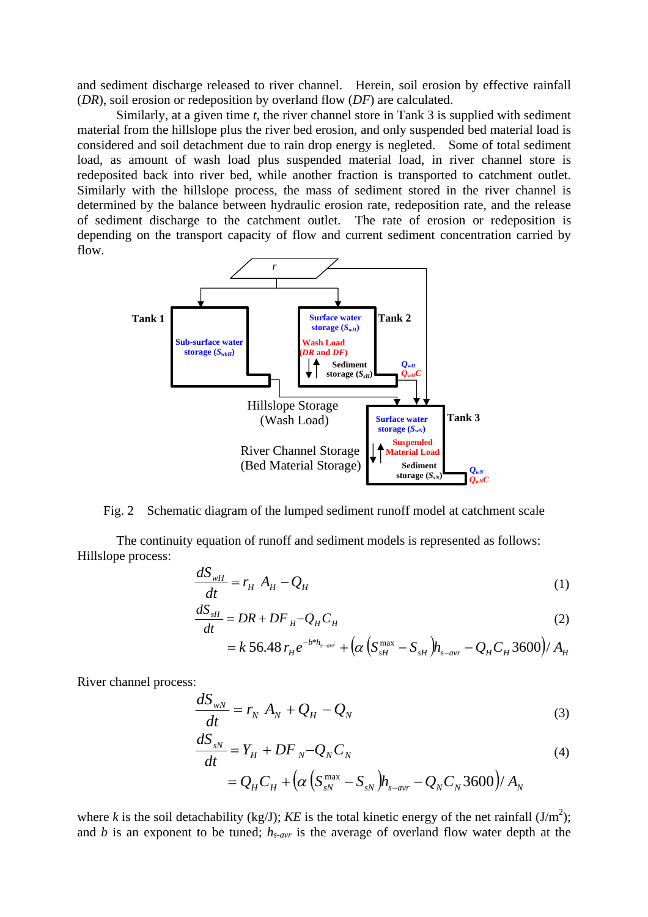and sediment discharge released to river channel. Herein, soil erosion by effective rainfall (*DR*), soil erosion or redeposition by overland flow (*DF*) are calculated.

Similarly, at a given time *t*, the river channel store in Tank 3 is supplied with sediment material from the hillslope plus the river bed erosion, and only suspended bed material load is considered and soil detachment due to rain drop energy is negleted. Some of total sediment load, as amount of wash load plus suspended material load, in river channel store is redeposited back into river bed, while another fraction is transported to catchment outlet. Similarly with the hillslope process, the mass of sediment stored in the river channel is determined by the balance between hydraulic erosion rate, redeposition rate, and the release of sediment discharge to the catchment outlet. The rate of erosion or redeposition is depending on the transport capacity of flow and current sediment concentration carried by flow.



Fig. 2 Schematic diagram of the lumped sediment runoff model at catchment scale

 The continuity equation of runoff and sediment models is represented as follows: Hillslope process:

$$
\frac{dS_{wH}}{dt} = r_H A_H - Q_H \tag{1}
$$

$$
\frac{dS_{sH}}{dt} = DR + DF_H - Q_H C_H \tag{2}
$$

$$
= k \, 56.48 \, r_H e^{-b^{*}h_{s-avr}} + \left(\alpha \left(S_{sH}^{\max} - S_{sH}\right)h_{s-avr} - Q_H C_H 3600\right)/A_H
$$

River channel process:

$$
\frac{dS_{wN}}{dt} = r_N A_N + Q_H - Q_N \tag{3}
$$

$$
\frac{dS_{sN}}{dt} = Y_H + DF_N - Q_N C_N \tag{4}
$$

$$
= Q_H C_H + \left( \alpha \left( S_{sN}^{\max} - S_{sN} \right) h_{s-avr} - Q_N C_N 3600 \right) / A_N
$$

where *k* is the soil detachability (kg/J); *KE* is the total kinetic energy of the net rainfall  $(J/m^2)$ ; and *b* is an exponent to be tuned;  $h_{s-avr}$  is the average of overland flow water depth at the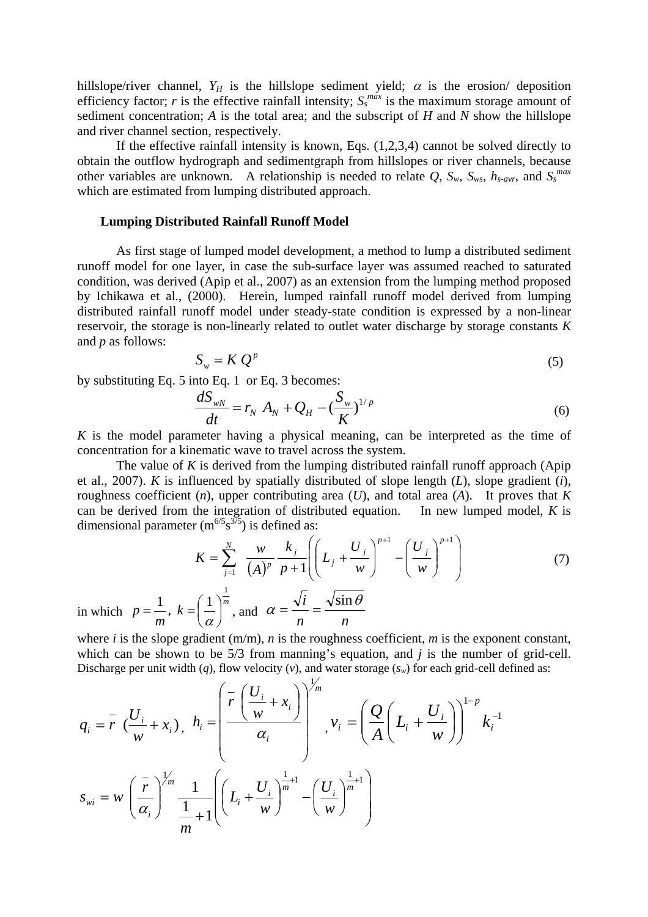hillslope/river channel,  $Y_H$  is the hillslope sediment yield;  $\alpha$  is the erosion/ deposition efficiency factor; *r* is the effective rainfall intensity;  $S_s^{max}$  is the maximum storage amount of sediment concentration; *A* is the total area; and the subscript of *H* and *N* show the hillslope and river channel section, respectively.

If the effective rainfall intensity is known, Eqs. (1,2,3,4) cannot be solved directly to obtain the outflow hydrograph and sedimentgraph from hillslopes or river channels, because other variables are unknown. A relationship is needed to relate Q,  $S_w$ ,  $S_{ws}$ ,  $h_{s-avr}$ , and  $S_s^{max}$ which are estimated from lumping distributed approach.

## **Lumping Distributed Rainfall Runoff Model**

As first stage of lumped model development, a method to lump a distributed sediment runoff model for one layer, in case the sub-surface layer was assumed reached to saturated condition, was derived (Apip et al., 2007) as an extension from the lumping method proposed by Ichikawa et al., (2000). Herein, lumped rainfall runoff model derived from lumping distributed rainfall runoff model under steady-state condition is expressed by a non-linear reservoir, the storage is non-linearly related to outlet water discharge by storage constants *K* and *p* as follows:

$$
S_w = K Q^p \tag{5}
$$

by substituting Eq. 5 into Eq. 1 or Eq. 3 becomes:

$$
\frac{dS_{wN}}{dt} = r_N A_N + Q_H - \left(\frac{S_w}{K}\right)^{1/p} \tag{6}
$$

*K* is the model parameter having a physical meaning, can be interpreted as the time of concentration for a kinematic wave to travel across the system.

The value of *K* is derived from the lumping distributed rainfall runoff approach (Apip et al., 2007). *K* is influenced by spatially distributed of slope length (*L*), slope gradient (*i*), roughness coefficient (*n*), upper contributing area (*U*), and total area (*A*). It proves that *K* can be derived from the integration of distributed equation. In new lumped model, *K* is dimensional parameter  $(m^{6/5} s^{3/5})$  is defined as:

$$
K = \sum_{j=1}^{N} \frac{w}{(A)^p} \frac{k_j}{p+1} \left( \left( L_j + \frac{U_j}{w} \right)^{p+1} - \left( \frac{U_j}{w} \right)^{p+1} \right) \tag{7}
$$

in which  $p = \frac{1}{k}$ ,  $k = \left(\frac{1}{k}\right)^m$ *m*  $p = \frac{1}{k}$ ,  $k = \left(\frac{1}{k}\right)$ ⎠  $\left(\frac{1}{n}\right)$ ⎝  $=\frac{1}{m}$ ,  $k = \left(\frac{1}{\alpha}\right)^{\frac{1}{m}}$ , and  $\alpha = \frac{\sqrt{i}}{n} = \frac{\sqrt{\sin n}}{n}$  $\alpha = \frac{\sqrt{i}}{i} = \frac{\sqrt{\sin \theta}}{i}$ 

where *i* is the slope gradient  $(m/m)$ , *n* is the roughness coefficient, *m* is the exponent constant, which can be shown to be 5/3 from manning's equation, and *j* is the number of grid-cell. Discharge per unit width  $(q)$ , flow velocity  $(v)$ , and water storage  $(s_w)$  for each grid-cell defined as:

$$
q_i = \overline{r} \left( \frac{U_i}{w} + x_i \right), \quad h_i = \left( \frac{\overline{r} \left( \frac{U_i}{w} + x_i \right)}{\alpha_i} \right)^{1/m}, \quad v_i = \left( \frac{Q}{A} \left( L_i + \frac{U_i}{w} \right) \right)^{1-p} k_i^{-1}
$$
\n
$$
s_{wi} = w \left( \frac{\overline{r}}{\alpha_i} \right)^{1/m} \frac{1}{\frac{1}{m} + 1} \left( \left( L_i + \frac{U_i}{w} \right)^{\frac{1}{m} + 1} - \left( \frac{U_i}{w} \right)^{\frac{1}{m} + 1} \right)
$$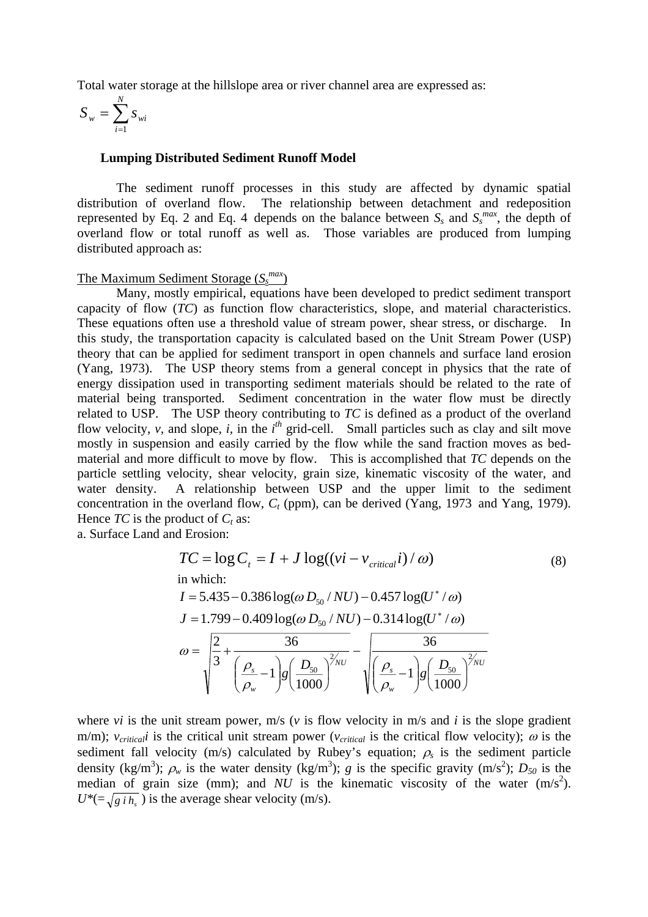Total water storage at the hillslope area or river channel area are expressed as:

$$
S_w = \sum_{i=1}^N s_{wi}
$$

### **Lumping Distributed Sediment Runoff Model**

The sediment runoff processes in this study are affected by dynamic spatial distribution of overland flow. The relationship between detachment and redeposition represented by Eq. 2 and Eq. 4 depends on the balance between  $S_s$  and  $S_s^{max}$ , the depth of overland flow or total runoff as well as. Those variables are produced from lumping distributed approach as:

# The Maximum Sediment Storage (*Ss max*)

Many, mostly empirical, equations have been developed to predict sediment transport capacity of flow (*TC*) as function flow characteristics, slope, and material characteristics. These equations often use a threshold value of stream power, shear stress, or discharge. In this study, the transportation capacity is calculated based on the Unit Stream Power (USP) theory that can be applied for sediment transport in open channels and surface land erosion (Yang, 1973). The USP theory stems from a general concept in physics that the rate of energy dissipation used in transporting sediment materials should be related to the rate of material being transported. Sediment concentration in the water flow must be directly related to USP. The USP theory contributing to *TC* is defined as a product of the overland flow velocity,  $v$ , and slope,  $i$ , in the  $i<sup>th</sup>$  grid-cell. Small particles such as clay and silt move mostly in suspension and easily carried by the flow while the sand fraction moves as bedmaterial and more difficult to move by flow. This is accomplished that *TC* depends on the particle settling velocity, shear velocity, grain size, kinematic viscosity of the water, and water density. A relationship between USP and the upper limit to the sediment concentration in the overland flow,  $C_t$  (ppm), can be derived (Yang, 1973 and Yang, 1979). Hence  $TC$  is the product of  $C_t$  as:

a. Surface Land and Erosion:

$$
TC = \log C_{t} = I + J \log((vi - v_{critical}i)/\omega)
$$
\nin which:

\n
$$
I = 5.435 - 0.386 \log(\omega D_{50} / NU) - 0.457 \log(U^{*}/\omega)
$$
\n
$$
J = 1.799 - 0.409 \log(\omega D_{50} / NU) - 0.314 \log(U^{*}/\omega)
$$
\n
$$
\omega = \sqrt{\frac{2}{3} + \frac{36}{\left(\frac{\rho_{s}}{\rho_{w}} - 1\right)g\left(\frac{D_{50}}{1000}\right)^{2/NU}} - \sqrt{\frac{\rho_{s}}{\left(\frac{\rho_{s}}{\rho_{w}} - 1\right)g\left(\frac{D_{50}}{1000}\right)^{2/NU}}}
$$
\n(8)

where *vi* is the unit stream power,  $m/s$  (*v* is flow velocity in  $m/s$  and *i* is the slope gradient m/m);  $v_{critical}$  is the critical unit stream power ( $v_{critical}$  is the critical flow velocity);  $\omega$  is the sediment fall velocity (m/s) calculated by Rubey's equation;  $\rho_s$  is the sediment particle density (kg/m<sup>3</sup>);  $\rho_w$  is the water density (kg/m<sup>3</sup>); *g* is the specific gravity (m/s<sup>2</sup>); *D<sub>50</sub>* is the median of grain size (mm); and  $NU$  is the kinematic viscosity of the water  $(m/s<sup>2</sup>)$ .  $U^* = \sqrt{g_i h_s}$ ) is the average shear velocity (m/s).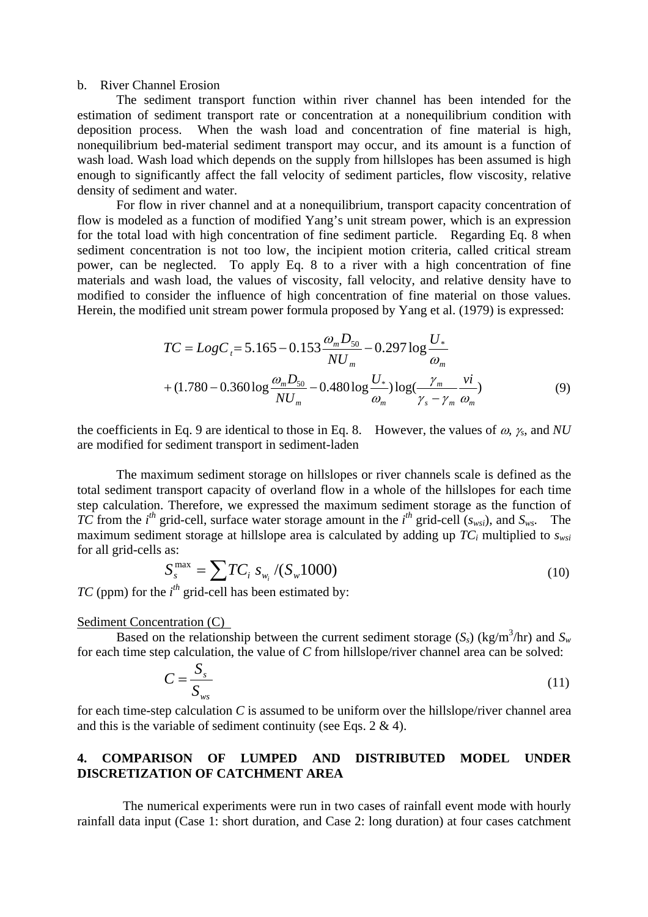### b. River Channel Erosion

The sediment transport function within river channel has been intended for the estimation of sediment transport rate or concentration at a nonequilibrium condition with deposition process. When the wash load and concentration of fine material is high, nonequilibrium bed-material sediment transport may occur, and its amount is a function of wash load. Wash load which depends on the supply from hillslopes has been assumed is high enough to significantly affect the fall velocity of sediment particles, flow viscosity, relative density of sediment and water.

For flow in river channel and at a nonequilibrium, transport capacity concentration of flow is modeled as a function of modified Yang's unit stream power, which is an expression for the total load with high concentration of fine sediment particle. Regarding Eq. 8 when sediment concentration is not too low, the incipient motion criteria, called critical stream power, can be neglected. To apply Eq. 8 to a river with a high concentration of fine materials and wash load, the values of viscosity, fall velocity, and relative density have to modified to consider the influence of high concentration of fine material on those values. Herein, the modified unit stream power formula proposed by Yang et al. (1979) is expressed:

$$
TC = LogC_{t} = 5.165 - 0.153 \frac{\omega_{m} D_{50}}{NU_{m}} - 0.297 \log \frac{U_{*}}{\omega_{m}}
$$
  
+  $(1.780 - 0.360 \log \frac{\omega_{m} D_{50}}{NU_{m}} - 0.480 \log \frac{U_{*}}{\omega_{m}}) \log(\frac{\gamma_{m}}{\gamma_{s} - \gamma_{m}} \frac{vi}{\omega_{m}})$  (9)

the coefficients in Eq. 9 are identical to those in Eq. 8. However, the values of ω, <sup>γ</sup>*s*, and *NU* are modified for sediment transport in sediment-laden

The maximum sediment storage on hillslopes or river channels scale is defined as the total sediment transport capacity of overland flow in a whole of the hillslopes for each time step calculation. Therefore, we expressed the maximum sediment storage as the function of *TC* from the *i*<sup>th</sup> grid-cell, surface water storage amount in the *i*<sup>th</sup> grid-cell ( $s_{ws}$ ), and  $S_{ws}$ . The maximum sediment storage at hillslope area is calculated by adding up  $TC_i$  multiplied to  $s_{wsi}$ for all grid-cells as:

$$
S_s^{\max} = \sum TC_i \, s_{w_i} \, / (S_w 1000) \tag{10}
$$

*TC* (ppm) for the  $i^{th}$  grid-cell has been estimated by:

#### Sediment Concentration (C)

Based on the relationship between the current sediment storage  $(S_s)$  (kg/m<sup>3</sup>/hr) and  $S_w$ for each time step calculation, the value of *C* from hillslope/river channel area can be solved:

$$
C = \frac{S_s}{S_{ws}}\tag{11}
$$

for each time-step calculation *C* is assumed to be uniform over the hillslope/river channel area and this is the variable of sediment continuity (see Eqs. 2 & 4).

# **4. COMPARISON OF LUMPED AND DISTRIBUTED MODEL UNDER DISCRETIZATION OF CATCHMENT AREA**

The numerical experiments were run in two cases of rainfall event mode with hourly rainfall data input (Case 1: short duration, and Case 2: long duration) at four cases catchment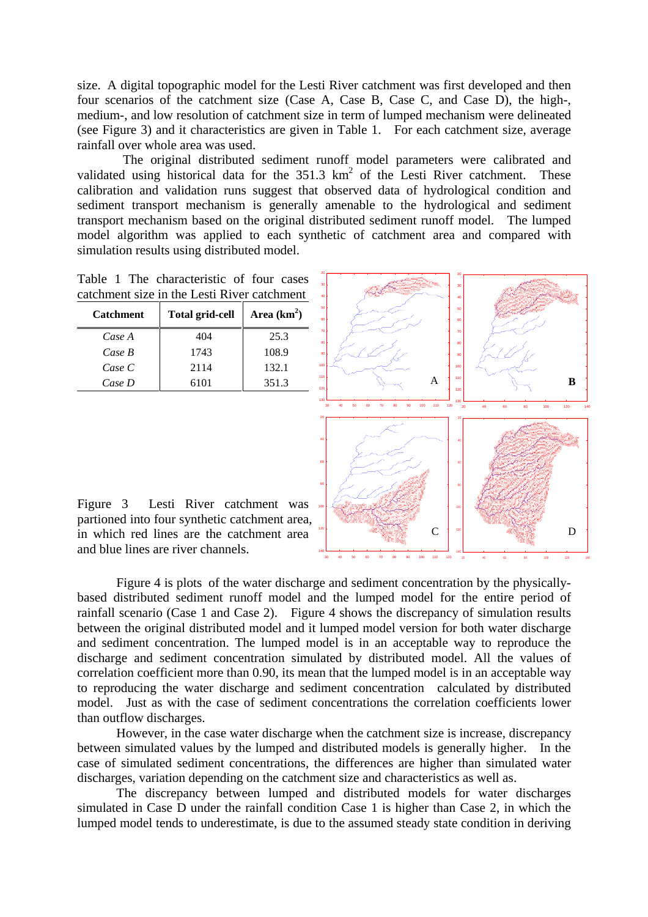size. A digital topographic model for the Lesti River catchment was first developed and then four scenarios of the catchment size (Case A, Case B, Case C, and Case D), the high-, medium-, and low resolution of catchment size in term of lumped mechanism were delineated (see Figure 3) and it characteristics are given in Table 1. For each catchment size, average rainfall over whole area was used.

The original distributed sediment runoff model parameters were calibrated and validated using historical data for the  $351.3 \text{ km}^2$  of the Lesti River catchment. These calibration and validation runs suggest that observed data of hydrological condition and sediment transport mechanism is generally amenable to the hydrological and sediment transport mechanism based on the original distributed sediment runoff model. The lumped model algorithm was applied to each synthetic of catchment area and compared with simulation results using distributed model.

Table 1 The characteristic of four cases catchment size in the Lesti River catchment

| <b>Catchment</b> | <b>Total grid-cell</b> | Area $(km^2)$ |
|------------------|------------------------|---------------|
| Case A           | 404                    | 25.3          |
| Case B           | 1743                   | 108.9         |
| Case C           | 2114                   | 132.1         |
| Case D           | 6101                   | 351.3         |



Figure 3 Lesti River catchment was partioned into four synthetic catchment area, in which red lines are the catchment area and blue lines are river channels.

Figure 4 is plots of the water discharge and sediment concentration by the physicallybased distributed sediment runoff model and the lumped model for the entire period of rainfall scenario (Case 1 and Case 2). Figure 4 shows the discrepancy of simulation results between the original distributed model and it lumped model version for both water discharge and sediment concentration. The lumped model is in an acceptable way to reproduce the discharge and sediment concentration simulated by distributed model. All the values of correlation coefficient more than 0.90, its mean that the lumped model is in an acceptable way to reproducing the water discharge and sediment concentration calculated by distributed model. Just as with the case of sediment concentrations the correlation coefficients lower than outflow discharges.

However, in the case water discharge when the catchment size is increase, discrepancy between simulated values by the lumped and distributed models is generally higher. In the case of simulated sediment concentrations, the differences are higher than simulated water discharges, variation depending on the catchment size and characteristics as well as.

 The discrepancy between lumped and distributed models for water discharges simulated in Case D under the rainfall condition Case 1 is higher than Case 2, in which the lumped model tends to underestimate, is due to the assumed steady state condition in deriving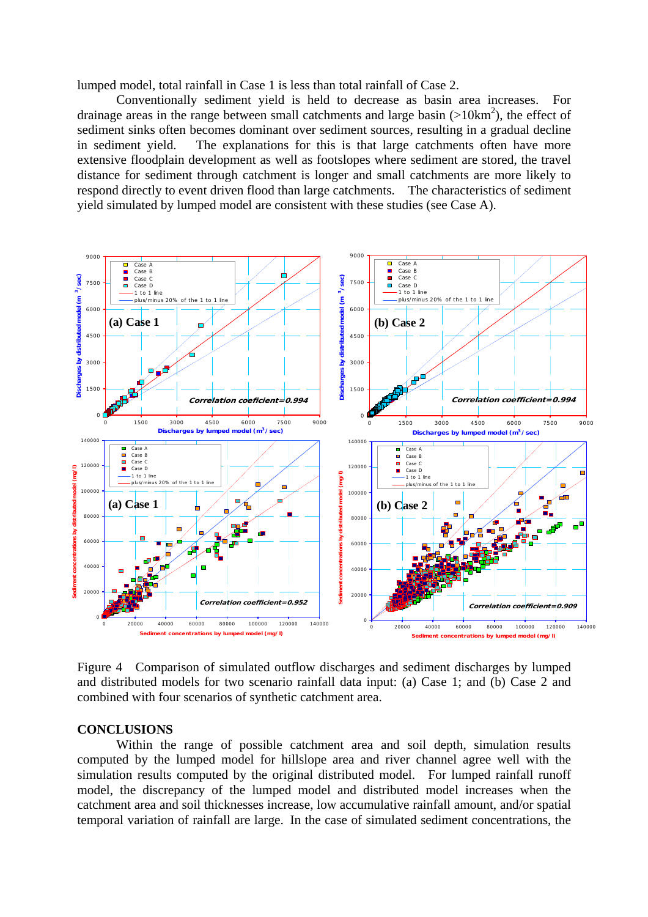lumped model, total rainfall in Case 1 is less than total rainfall of Case 2.

 Conventionally sediment yield is held to decrease as basin area increases. For drainage areas in the range between small catchments and large basin  $(>10km^2)$ , the effect of sediment sinks often becomes dominant over sediment sources, resulting in a gradual decline in sediment yield. The explanations for this is that large catchments often have more extensive floodplain development as well as footslopes where sediment are stored, the travel distance for sediment through catchment is longer and small catchments are more likely to respond directly to event driven flood than large catchments. The characteristics of sediment yield simulated by lumped model are consistent with these studies (see Case A).



Figure 4 Comparison of simulated outflow discharges and sediment discharges by lumped and distributed models for two scenario rainfall data input: (a) Case 1; and (b) Case 2 and combined with four scenarios of synthetic catchment area.

### **CONCLUSIONS**

Within the range of possible catchment area and soil depth, simulation results computed by the lumped model for hillslope area and river channel agree well with the simulation results computed by the original distributed model. For lumped rainfall runoff model, the discrepancy of the lumped model and distributed model increases when the catchment area and soil thicknesses increase, low accumulative rainfall amount, and/or spatial temporal variation of rainfall are large. In the case of simulated sediment concentrations, the